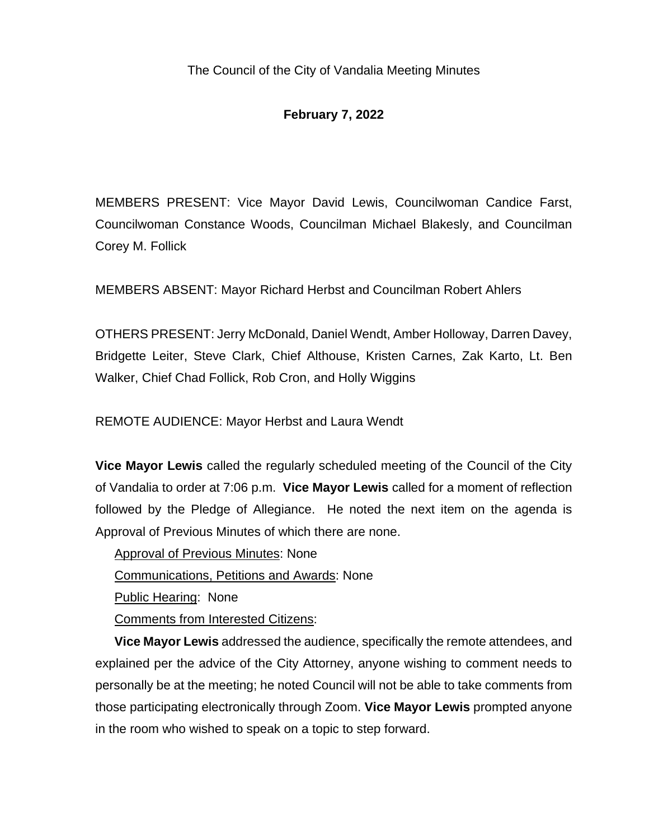# **February 7, 2022**

MEMBERS PRESENT: Vice Mayor David Lewis, Councilwoman Candice Farst, Councilwoman Constance Woods, Councilman Michael Blakesly, and Councilman Corey M. Follick

MEMBERS ABSENT: Mayor Richard Herbst and Councilman Robert Ahlers

OTHERS PRESENT: Jerry McDonald, Daniel Wendt, Amber Holloway, Darren Davey, Bridgette Leiter, Steve Clark, Chief Althouse, Kristen Carnes, Zak Karto, Lt. Ben Walker, Chief Chad Follick, Rob Cron, and Holly Wiggins

REMOTE AUDIENCE: Mayor Herbst and Laura Wendt

**Vice Mayor Lewis** called the regularly scheduled meeting of the Council of the City of Vandalia to order at 7:06 p.m. **Vice Mayor Lewis** called for a moment of reflection followed by the Pledge of Allegiance. He noted the next item on the agenda is Approval of Previous Minutes of which there are none.

Approval of Previous Minutes: None

Communications, Petitions and Awards: None

Public Hearing: None

Comments from Interested Citizens:

**Vice Mayor Lewis** addressed the audience, specifically the remote attendees, and explained per the advice of the City Attorney, anyone wishing to comment needs to personally be at the meeting; he noted Council will not be able to take comments from those participating electronically through Zoom. **Vice Mayor Lewis** prompted anyone in the room who wished to speak on a topic to step forward.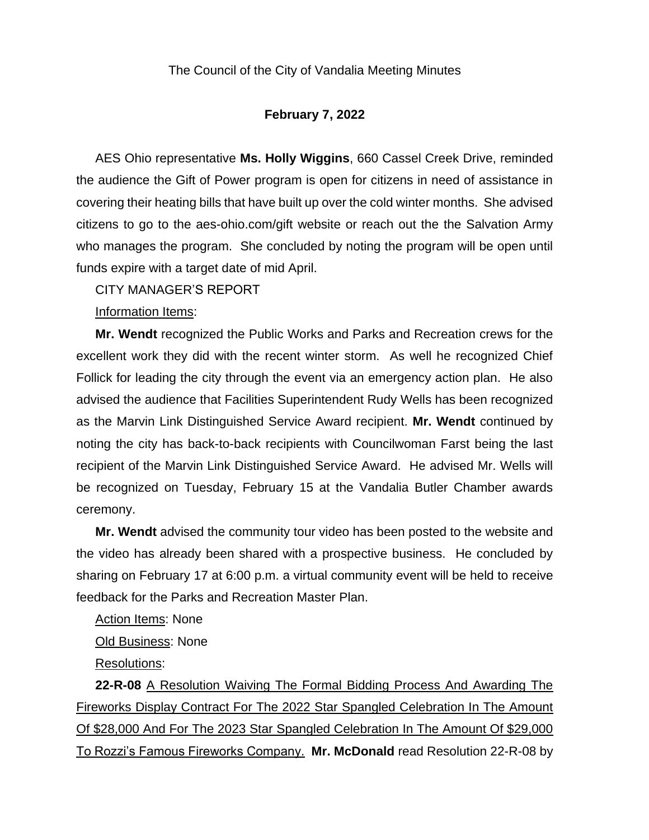#### **February 7, 2022**

AES Ohio representative **Ms. Holly Wiggins**, 660 Cassel Creek Drive, reminded the audience the Gift of Power program is open for citizens in need of assistance in covering their heating bills that have built up over the cold winter months. She advised citizens to go to the aes-ohio.com/gift website or reach out the the Salvation Army who manages the program. She concluded by noting the program will be open until funds expire with a target date of mid April.

CITY MANAGER'S REPORT

Information Items:

**Mr. Wendt** recognized the Public Works and Parks and Recreation crews for the excellent work they did with the recent winter storm. As well he recognized Chief Follick for leading the city through the event via an emergency action plan. He also advised the audience that Facilities Superintendent Rudy Wells has been recognized as the Marvin Link Distinguished Service Award recipient. **Mr. Wendt** continued by noting the city has back-to-back recipients with Councilwoman Farst being the last recipient of the Marvin Link Distinguished Service Award. He advised Mr. Wells will be recognized on Tuesday, February 15 at the Vandalia Butler Chamber awards ceremony.

**Mr. Wendt** advised the community tour video has been posted to the website and the video has already been shared with a prospective business. He concluded by sharing on February 17 at 6:00 p.m. a virtual community event will be held to receive feedback for the Parks and Recreation Master Plan.

Action Items: None

Old Business: None

Resolutions:

**22-R-08** A Resolution Waiving The Formal Bidding Process And Awarding The Fireworks Display Contract For The 2022 Star Spangled Celebration In The Amount Of \$28,000 And For The 2023 Star Spangled Celebration In The Amount Of \$29,000 To Rozzi's Famous Fireworks Company. **Mr. McDonald** read Resolution 22-R-08 by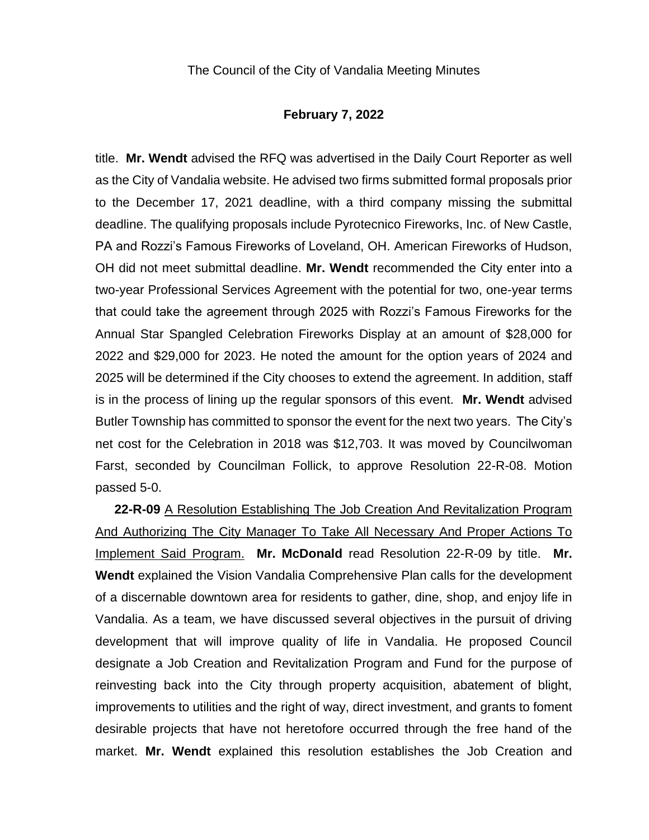#### **February 7, 2022**

title. **Mr. Wendt** advised the RFQ was advertised in the Daily Court Reporter as well as the City of Vandalia website. He advised two firms submitted formal proposals prior to the December 17, 2021 deadline, with a third company missing the submittal deadline. The qualifying proposals include Pyrotecnico Fireworks, Inc. of New Castle, PA and Rozzi's Famous Fireworks of Loveland, OH. American Fireworks of Hudson, OH did not meet submittal deadline. **Mr. Wendt** recommended the City enter into a two-year Professional Services Agreement with the potential for two, one-year terms that could take the agreement through 2025 with Rozzi's Famous Fireworks for the Annual Star Spangled Celebration Fireworks Display at an amount of \$28,000 for 2022 and \$29,000 for 2023. He noted the amount for the option years of 2024 and 2025 will be determined if the City chooses to extend the agreement. In addition, staff is in the process of lining up the regular sponsors of this event. **Mr. Wendt** advised Butler Township has committed to sponsor the event for the next two years. The City's net cost for the Celebration in 2018 was \$12,703. It was moved by Councilwoman Farst, seconded by Councilman Follick, to approve Resolution 22-R-08. Motion passed 5-0.

**22-R-09** A Resolution Establishing The Job Creation And Revitalization Program And Authorizing The City Manager To Take All Necessary And Proper Actions To Implement Said Program. **Mr. McDonald** read Resolution 22-R-09 by title. **Mr. Wendt** explained the Vision Vandalia Comprehensive Plan calls for the development of a discernable downtown area for residents to gather, dine, shop, and enjoy life in Vandalia. As a team, we have discussed several objectives in the pursuit of driving development that will improve quality of life in Vandalia. He proposed Council designate a Job Creation and Revitalization Program and Fund for the purpose of reinvesting back into the City through property acquisition, abatement of blight, improvements to utilities and the right of way, direct investment, and grants to foment desirable projects that have not heretofore occurred through the free hand of the market. **Mr. Wendt** explained this resolution establishes the Job Creation and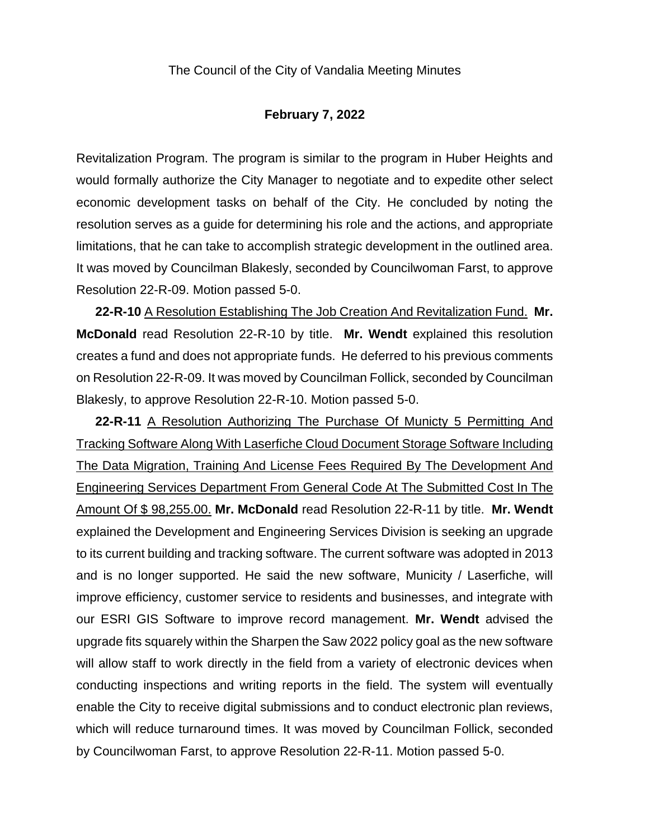#### **February 7, 2022**

Revitalization Program. The program is similar to the program in Huber Heights and would formally authorize the City Manager to negotiate and to expedite other select economic development tasks on behalf of the City. He concluded by noting the resolution serves as a guide for determining his role and the actions, and appropriate limitations, that he can take to accomplish strategic development in the outlined area. It was moved by Councilman Blakesly, seconded by Councilwoman Farst, to approve Resolution 22-R-09. Motion passed 5-0.

**22-R-10** A Resolution Establishing The Job Creation And Revitalization Fund. **Mr. McDonald** read Resolution 22-R-10 by title. **Mr. Wendt** explained this resolution creates a fund and does not appropriate funds. He deferred to his previous comments on Resolution 22-R-09. It was moved by Councilman Follick, seconded by Councilman Blakesly, to approve Resolution 22-R-10. Motion passed 5-0.

**22-R-11** A Resolution Authorizing The Purchase Of Municty 5 Permitting And Tracking Software Along With Laserfiche Cloud Document Storage Software Including The Data Migration, Training And License Fees Required By The Development And Engineering Services Department From General Code At The Submitted Cost In The Amount Of \$ 98,255.00. **Mr. McDonald** read Resolution 22-R-11 by title. **Mr. Wendt** explained the Development and Engineering Services Division is seeking an upgrade to its current building and tracking software. The current software was adopted in 2013 and is no longer supported. He said the new software, Municity / Laserfiche, will improve efficiency, customer service to residents and businesses, and integrate with our ESRI GIS Software to improve record management. **Mr. Wendt** advised the upgrade fits squarely within the Sharpen the Saw 2022 policy goal as the new software will allow staff to work directly in the field from a variety of electronic devices when conducting inspections and writing reports in the field. The system will eventually enable the City to receive digital submissions and to conduct electronic plan reviews, which will reduce turnaround times. It was moved by Councilman Follick, seconded by Councilwoman Farst, to approve Resolution 22-R-11. Motion passed 5-0.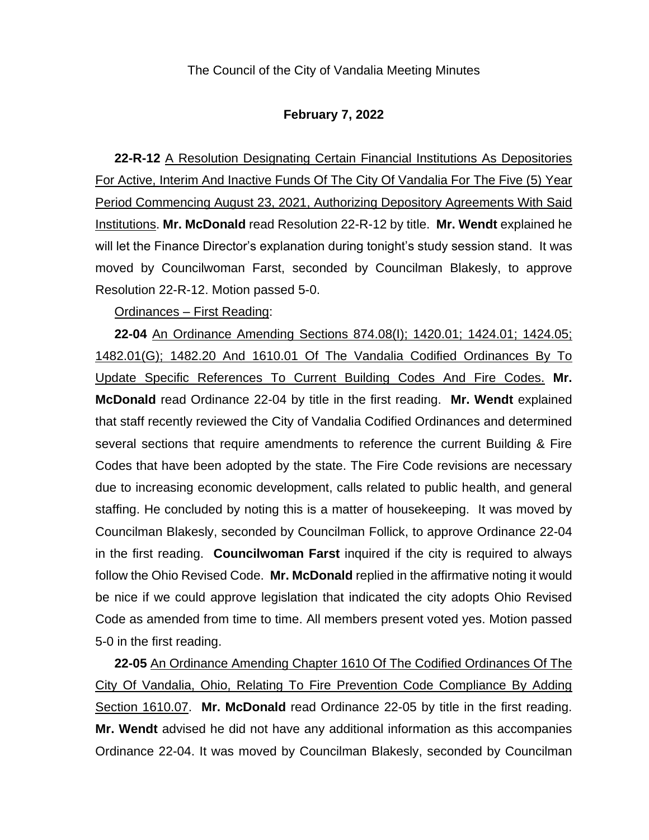#### **February 7, 2022**

**22-R-12** A Resolution Designating Certain Financial Institutions As Depositories For Active, Interim And Inactive Funds Of The City Of Vandalia For The Five (5) Year Period Commencing August 23, 2021, Authorizing Depository Agreements With Said Institutions. **Mr. McDonald** read Resolution 22-R-12 by title. **Mr. Wendt** explained he will let the Finance Director's explanation during tonight's study session stand. It was moved by Councilwoman Farst, seconded by Councilman Blakesly, to approve Resolution 22-R-12. Motion passed 5-0.

Ordinances – First Reading:

**22-04** An Ordinance Amending Sections 874.08(I); 1420.01; 1424.01; 1424.05; 1482.01(G); 1482.20 And 1610.01 Of The Vandalia Codified Ordinances By To Update Specific References To Current Building Codes And Fire Codes. **Mr. McDonald** read Ordinance 22-04 by title in the first reading. **Mr. Wendt** explained that staff recently reviewed the City of Vandalia Codified Ordinances and determined several sections that require amendments to reference the current Building & Fire Codes that have been adopted by the state. The Fire Code revisions are necessary due to increasing economic development, calls related to public health, and general staffing. He concluded by noting this is a matter of housekeeping. It was moved by Councilman Blakesly, seconded by Councilman Follick, to approve Ordinance 22-04 in the first reading. **Councilwoman Farst** inquired if the city is required to always follow the Ohio Revised Code. **Mr. McDonald** replied in the affirmative noting it would be nice if we could approve legislation that indicated the city adopts Ohio Revised Code as amended from time to time. All members present voted yes. Motion passed 5-0 in the first reading.

**22-05** An Ordinance Amending Chapter 1610 Of The Codified Ordinances Of The City Of Vandalia, Ohio, Relating To Fire Prevention Code Compliance By Adding Section 1610.07. **Mr. McDonald** read Ordinance 22-05 by title in the first reading. **Mr. Wendt** advised he did not have any additional information as this accompanies Ordinance 22-04. It was moved by Councilman Blakesly, seconded by Councilman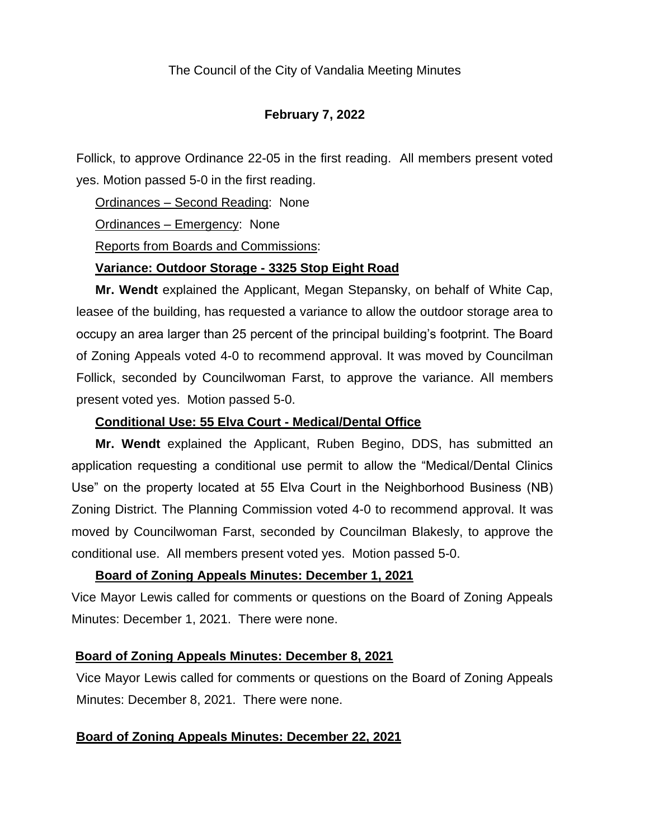### **February 7, 2022**

Follick, to approve Ordinance 22-05 in the first reading. All members present voted yes. Motion passed 5-0 in the first reading.

Ordinances – Second Reading: None

Ordinances – Emergency: None

Reports from Boards and Commissions:

#### **Variance: Outdoor Storage - 3325 Stop Eight Road**

**Mr. Wendt** explained the Applicant, Megan Stepansky, on behalf of White Cap, leasee of the building, has requested a variance to allow the outdoor storage area to occupy an area larger than 25 percent of the principal building's footprint. The Board of Zoning Appeals voted 4-0 to recommend approval. It was moved by Councilman Follick, seconded by Councilwoman Farst, to approve the variance. All members present voted yes. Motion passed 5-0.

#### **Conditional Use: 55 Elva Court - Medical/Dental Office**

**Mr. Wendt** explained the Applicant, Ruben Begino, DDS, has submitted an application requesting a conditional use permit to allow the "Medical/Dental Clinics Use" on the property located at 55 Elva Court in the Neighborhood Business (NB) Zoning District. The Planning Commission voted 4-0 to recommend approval. It was moved by Councilwoman Farst, seconded by Councilman Blakesly, to approve the conditional use. All members present voted yes. Motion passed 5-0.

## **Board of Zoning Appeals Minutes: December 1, 2021**

Vice Mayor Lewis called for comments or questions on the Board of Zoning Appeals Minutes: December 1, 2021. There were none.

## **Board of Zoning Appeals Minutes: December 8, 2021**

Vice Mayor Lewis called for comments or questions on the Board of Zoning Appeals Minutes: December 8, 2021. There were none.

## **Board of Zoning Appeals Minutes: December 22, 2021**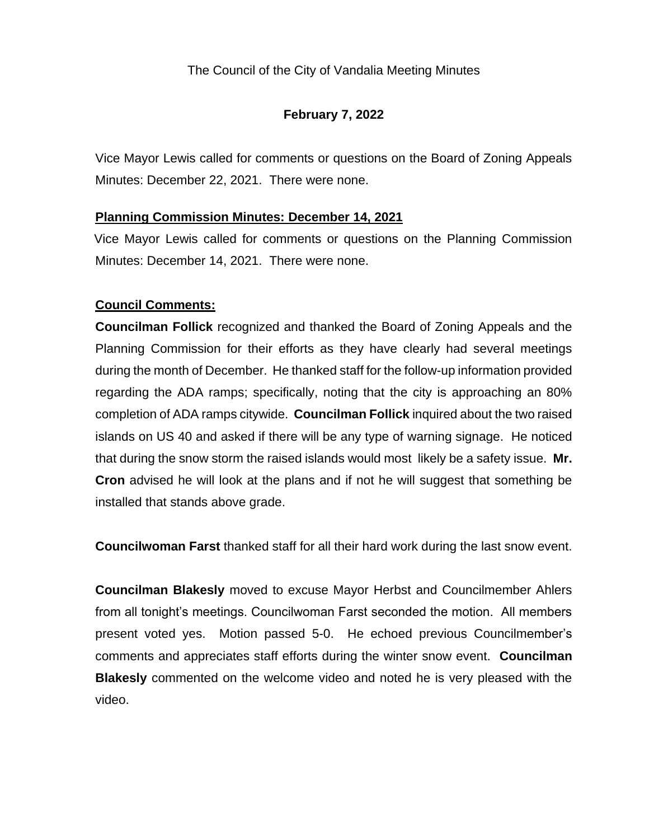# **February 7, 2022**

Vice Mayor Lewis called for comments or questions on the Board of Zoning Appeals Minutes: December 22, 2021. There were none.

## **Planning Commission Minutes: December 14, 2021**

Vice Mayor Lewis called for comments or questions on the Planning Commission Minutes: December 14, 2021. There were none.

# **Council Comments:**

**Councilman Follick** recognized and thanked the Board of Zoning Appeals and the Planning Commission for their efforts as they have clearly had several meetings during the month of December. He thanked staff for the follow-up information provided regarding the ADA ramps; specifically, noting that the city is approaching an 80% completion of ADA ramps citywide. **Councilman Follick** inquired about the two raised islands on US 40 and asked if there will be any type of warning signage. He noticed that during the snow storm the raised islands would most likely be a safety issue. **Mr. Cron** advised he will look at the plans and if not he will suggest that something be installed that stands above grade.

**Councilwoman Farst** thanked staff for all their hard work during the last snow event.

**Councilman Blakesly** moved to excuse Mayor Herbst and Councilmember Ahlers from all tonight's meetings. Councilwoman Farst seconded the motion. All members present voted yes. Motion passed 5-0. He echoed previous Councilmember's comments and appreciates staff efforts during the winter snow event. **Councilman Blakesly** commented on the welcome video and noted he is very pleased with the video.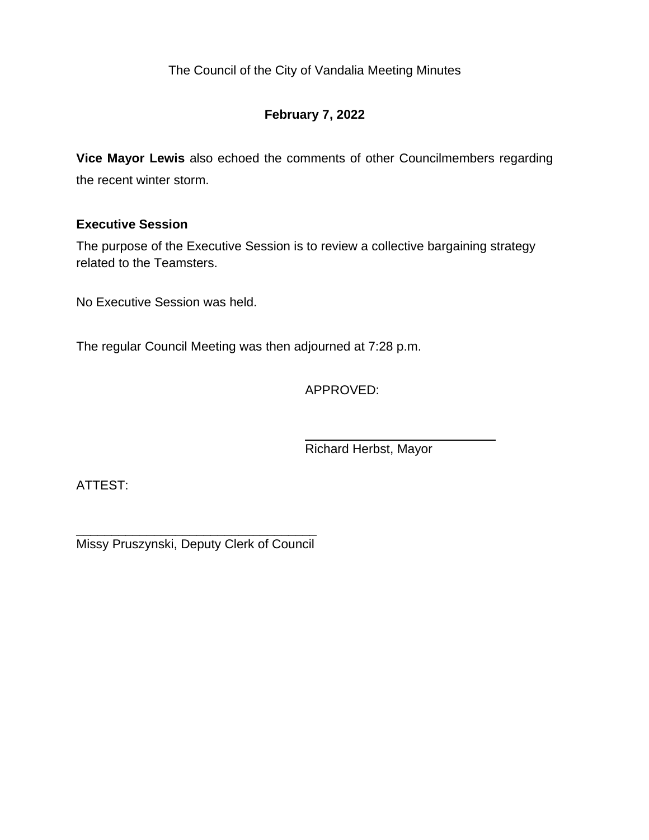# **February 7, 2022**

**Vice Mayor Lewis** also echoed the comments of other Councilmembers regarding the recent winter storm.

## **Executive Session**

The purpose of the Executive Session is to review a collective bargaining strategy related to the Teamsters.

No Executive Session was held.

The regular Council Meeting was then adjourned at 7:28 p.m.

APPROVED:

Richard Herbst, Mayor

ATTEST:

\_\_\_\_\_\_\_\_\_\_\_\_\_\_\_\_\_\_\_\_\_\_\_\_\_\_\_\_\_\_\_\_\_\_ Missy Pruszynski, Deputy Clerk of Council